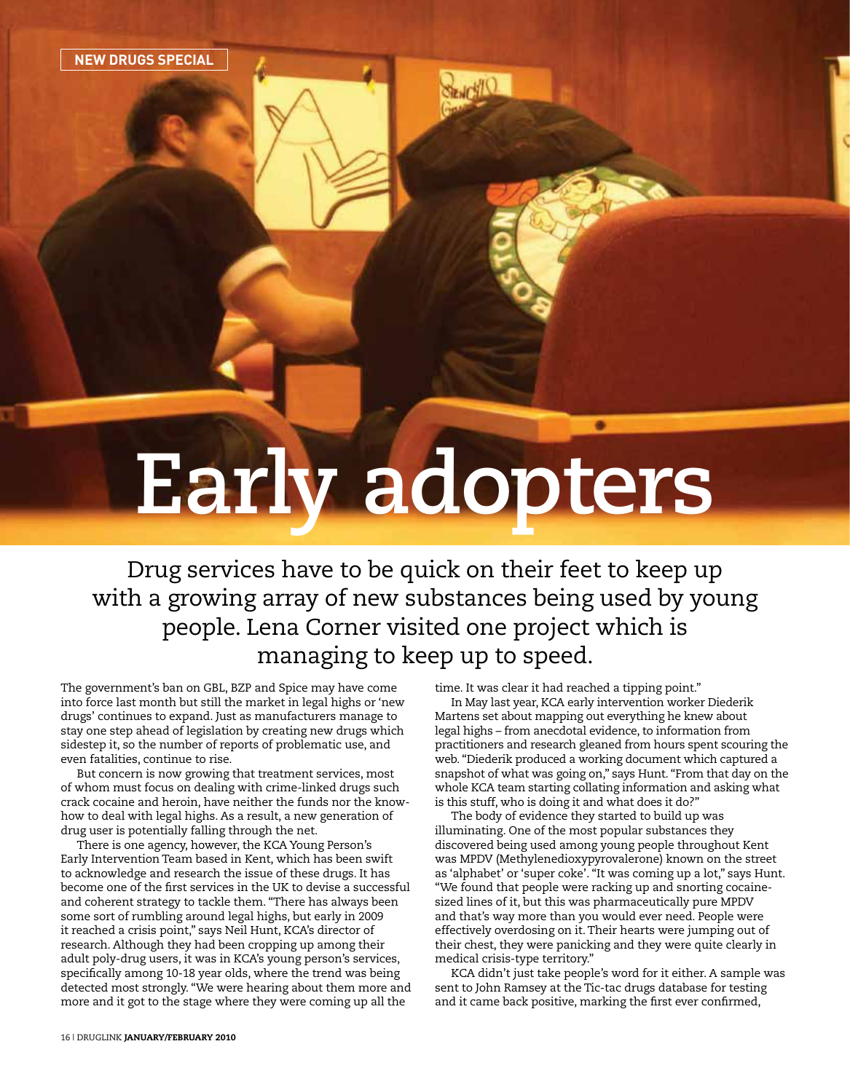## **Early adopters**

Drug services have to be quick on their feet to keep up with a growing array of new substances being used by young people. Lena Corner visited one project which is managing to keep up to speed.

The government's ban on GBL, BZP and Spice may have come into force last month but still the market in legal highs or 'new drugs' continues to expand. Just as manufacturers manage to stay one step ahead of legislation by creating new drugs which sidestep it, so the number of reports of problematic use, and even fatalities, continue to rise.

But concern is now growing that treatment services, most of whom must focus on dealing with crime-linked drugs such crack cocaine and heroin, have neither the funds nor the knowhow to deal with legal highs. As a result, a new generation of drug user is potentially falling through the net.

There is one agency, however, the KCA Young Person's Early Intervention Team based in Kent, which has been swift to acknowledge and research the issue of these drugs. It has become one of the first services in the UK to devise a successful and coherent strategy to tackle them. "There has always been some sort of rumbling around legal highs, but early in 2009 it reached a crisis point," says Neil Hunt, KCA's director of research. Although they had been cropping up among their adult poly-drug users, it was in KCA's young person's services, specifically among 10-18 year olds, where the trend was being detected most strongly. "We were hearing about them more and more and it got to the stage where they were coming up all the

time. It was clear it had reached a tipping point."

In May last year, KCA early intervention worker Diederik Martens set about mapping out everything he knew about legal highs – from anecdotal evidence, to information from practitioners and research gleaned from hours spent scouring the web. "Diederik produced a working document which captured a snapshot of what was going on," says Hunt. "From that day on the whole KCA team starting collating information and asking what is this stuff, who is doing it and what does it do?"

The body of evidence they started to build up was illuminating. One of the most popular substances they discovered being used among young people throughout Kent was MPDV (Methylenedioxypyrovalerone) known on the street as 'alphabet' or 'super coke'. "It was coming up a lot," says Hunt. "We found that people were racking up and snorting cocainesized lines of it, but this was pharmaceutically pure MPDV and that's way more than you would ever need. People were effectively overdosing on it. Their hearts were jumping out of their chest, they were panicking and they were quite clearly in medical crisis-type territory."

KCA didn't just take people's word for it either. A sample was sent to John Ramsey at the Tic-tac drugs database for testing and it came back positive, marking the first ever confirmed,